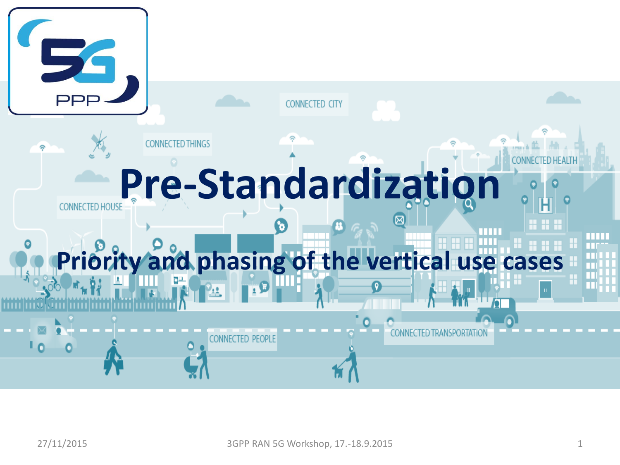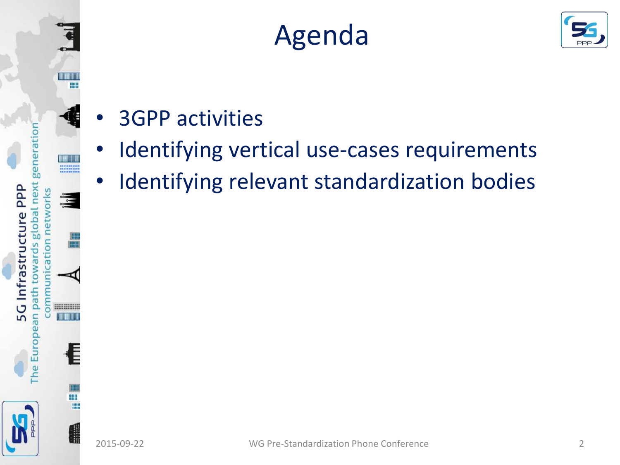





- 3GPP activities
- Identifying vertical use-cases requirements
- Identifying relevant standardization bodies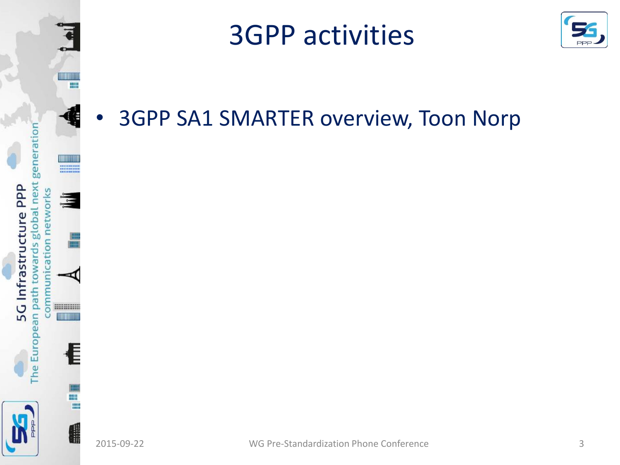

### 3GPP activities



• 3GPP SA1 SMARTER overview, Toon Norp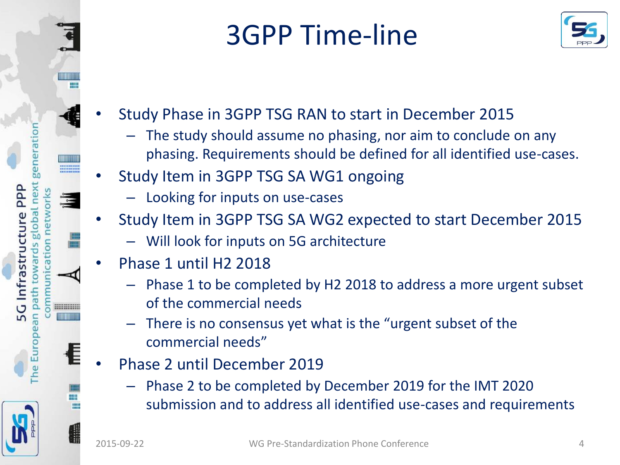

# 3GPP Time-line



- Study Phase in 3GPP TSG RAN to start in December 2015
	- The study should assume no phasing, nor aim to conclude on any phasing. Requirements should be defined for all identified use-cases.
- Study Item in 3GPP TSG SA WG1 ongoing
	- Looking for inputs on use-cases
- Study Item in 3GPP TSG SA WG2 expected to start December 2015
	- Will look for inputs on 5G architecture
- Phase 1 until H2 2018
	- Phase 1 to be completed by H2 2018 to address a more urgent subset of the commercial needs
	- There is no consensus yet what is the "urgent subset of the commercial needs"
- Phase 2 until December 2019
	- Phase 2 to be completed by December 2019 for the IMT 2020 submission and to address all identified use-cases and requirements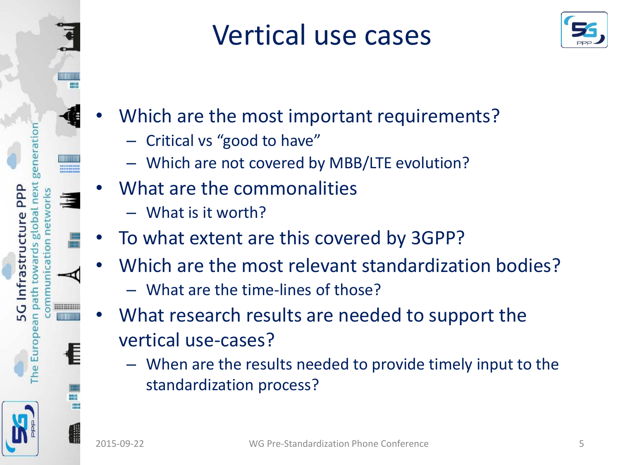

### Vertical use cases



- Which are the most important requirements?
	- Critical vs "good to have"
	- Which are not covered by MBB/LTE evolution?
	- What are the commonalities
		- What is it worth?
- To what extent are this covered by 3GPP?
- Which are the most relevant standardization bodies?
	- What are the time-lines of those?
- What research results are needed to support the vertical use-cases?
	- When are the results needed to provide timely input to the standardization process?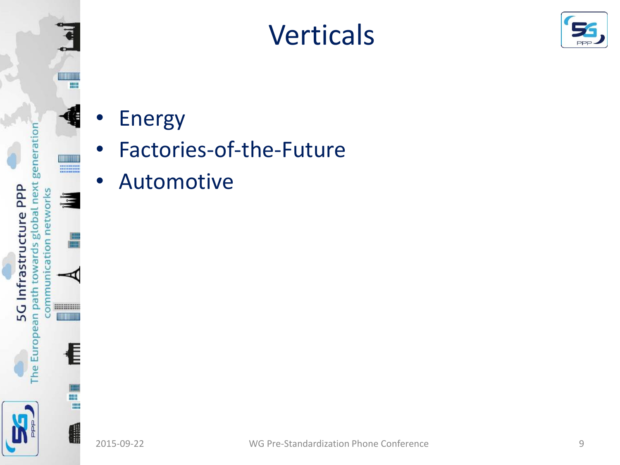

## Verticals



- Energy
- Factories-of-the-Future
- Automotive